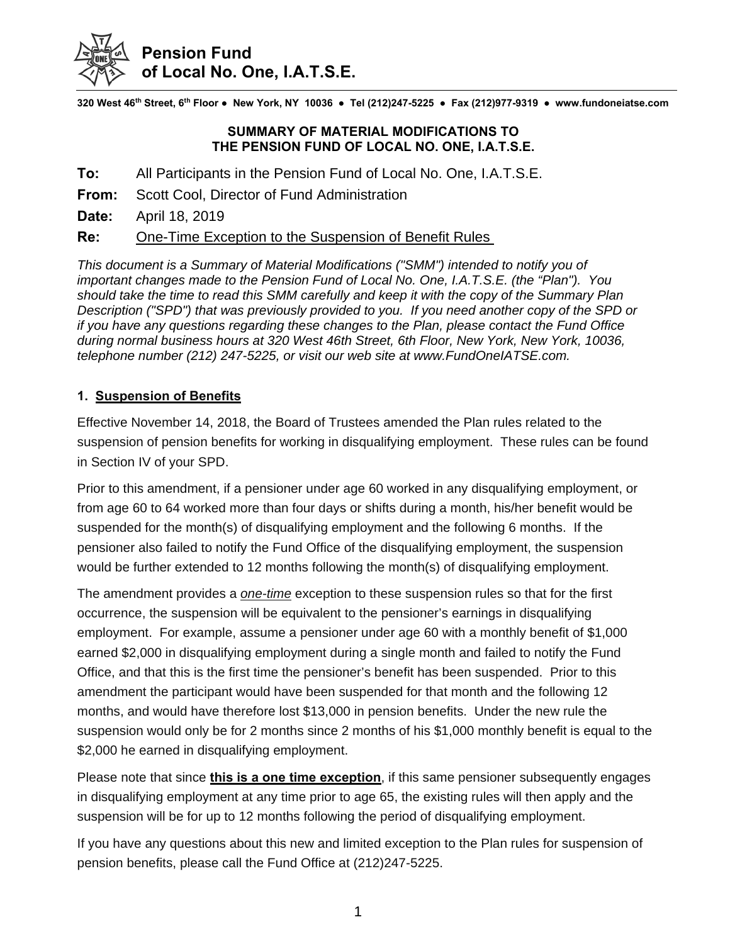

**320 West 46th Street, 6th Floor ● New York, NY 10036 ● Tel (212)247-5225 ● Fax (212)977-9319 ● www.fundoneiatse.com**

## **SUMMARY OF MATERIAL MODIFICATIONS TO THE PENSION FUND OF LOCAL NO. ONE, I.A.T.S.E.**

- **To:** All Participants in the Pension Fund of Local No. One, I.A.T.S.E.
- **From:** Scott Cool, Director of Fund Administration
- **Date:** April 18, 2019

**Re:** One-Time Exception to the Suspension of Benefit Rules

*This document is a Summary of Material Modifications ("SMM") intended to notify you of important changes made to the Pension Fund of Local No. One, I.A.T.S.E. (the "Plan"). You should take the time to read this SMM carefully and keep it with the copy of the Summary Plan Description ("SPD") that was previously provided to you. If you need another copy of the SPD or if you have any questions regarding these changes to the Plan, please contact the Fund Office during normal business hours at 320 West 46th Street, 6th Floor, New York, New York, 10036, telephone number (212) 247-5225, or visit our web site at www.FundOneIATSE.com.* 

## **1. Suspension of Benefits**

Effective November 14, 2018, the Board of Trustees amended the Plan rules related to the suspension of pension benefits for working in disqualifying employment. These rules can be found in Section IV of your SPD.

Prior to this amendment, if a pensioner under age 60 worked in any disqualifying employment, or from age 60 to 64 worked more than four days or shifts during a month, his/her benefit would be suspended for the month(s) of disqualifying employment and the following 6 months. If the pensioner also failed to notify the Fund Office of the disqualifying employment, the suspension would be further extended to 12 months following the month(s) of disqualifying employment.

The amendment provides a *one-time* exception to these suspension rules so that for the first occurrence, the suspension will be equivalent to the pensioner's earnings in disqualifying employment. For example, assume a pensioner under age 60 with a monthly benefit of \$1,000 earned \$2,000 in disqualifying employment during a single month and failed to notify the Fund Office, and that this is the first time the pensioner's benefit has been suspended. Prior to this amendment the participant would have been suspended for that month and the following 12 months, and would have therefore lost \$13,000 in pension benefits. Under the new rule the suspension would only be for 2 months since 2 months of his \$1,000 monthly benefit is equal to the \$2,000 he earned in disqualifying employment.

Please note that since **this is a one time exception**, if this same pensioner subsequently engages in disqualifying employment at any time prior to age 65, the existing rules will then apply and the suspension will be for up to 12 months following the period of disqualifying employment.

If you have any questions about this new and limited exception to the Plan rules for suspension of pension benefits, please call the Fund Office at (212)247-5225.